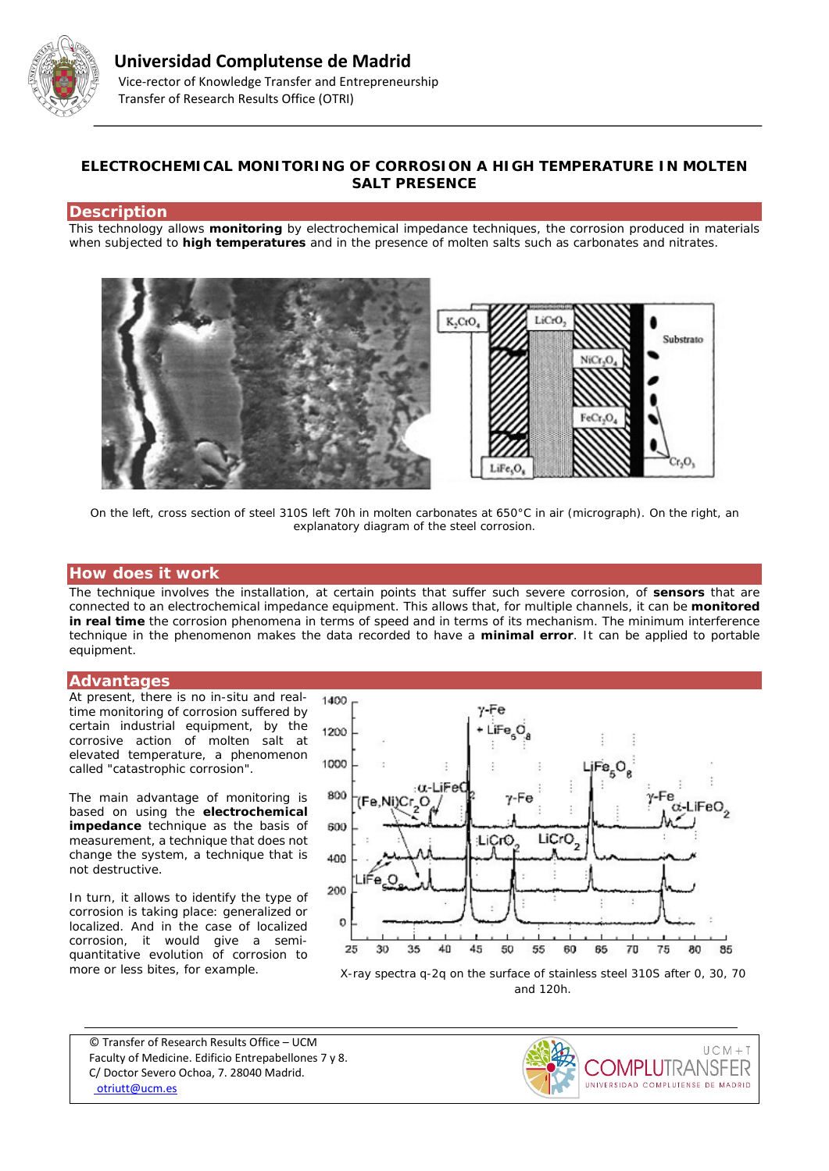

# **ELECTROCHEMICAL MONITORING OF CORROSION A HIGH TEMPERATURE IN MOLTEN SALT PRESENCE**

### **Description**

This technology allows **monitoring** by electrochemical impedance techniques, the corrosion produced in materials when subjected to **high temperatures** and in the presence of molten salts such as carbonates and nitrates.



*On the left, cross section of steel 310S left 70h in molten carbonates at 650°C in air (micrograph). On the right, an explanatory diagram of the steel corrosion.*

### **How does it work**

The technique involves the installation, at certain points that suffer such severe corrosion, of **sensors** that are connected to an electrochemical impedance equipment. This allows that, for multiple channels, it can be **monitored in real time** the corrosion phenomena in terms of speed and in terms of its mechanism. The minimum interference technique in the phenomenon makes the data recorded to have a **minimal error**. It can be applied to portable equipment.

#### **Advantages**

At present, there is no in-situ and realtime monitoring of corrosion suffered by certain industrial equipment, by the corrosive action of molten salt at elevated temperature, a phenomenon called "catastrophic corrosion".

The main advantage of monitoring is based on using the **electrochemical impedance** technique as the basis of measurement, a technique that does not change the system, a technique that is not destructive.

In turn, it allows to identify the type of corrosion is taking place: generalized or localized. And in the case of localized corrosion, it would give a semiquantitative evolution of corrosion to more or less bites, for example.



*and 120h.*

© Transfer of Research Results Office – UCM Faculty of Medicine. Edificio Entrepabellones 7 y 8. C/ Doctor Severo Ochoa, 7. 28040 Madrid. [otriutt@ucm.es](mailto:otriutt@ucm.es;fjperez@ucm.es?subject=ELECTROCHEMICAL%20MONITORING%20OF%20CORROSION%20A%20HIGH%20TEMPERATURE%20IN%20MOLTEN%20SALT%20PRESENCE)